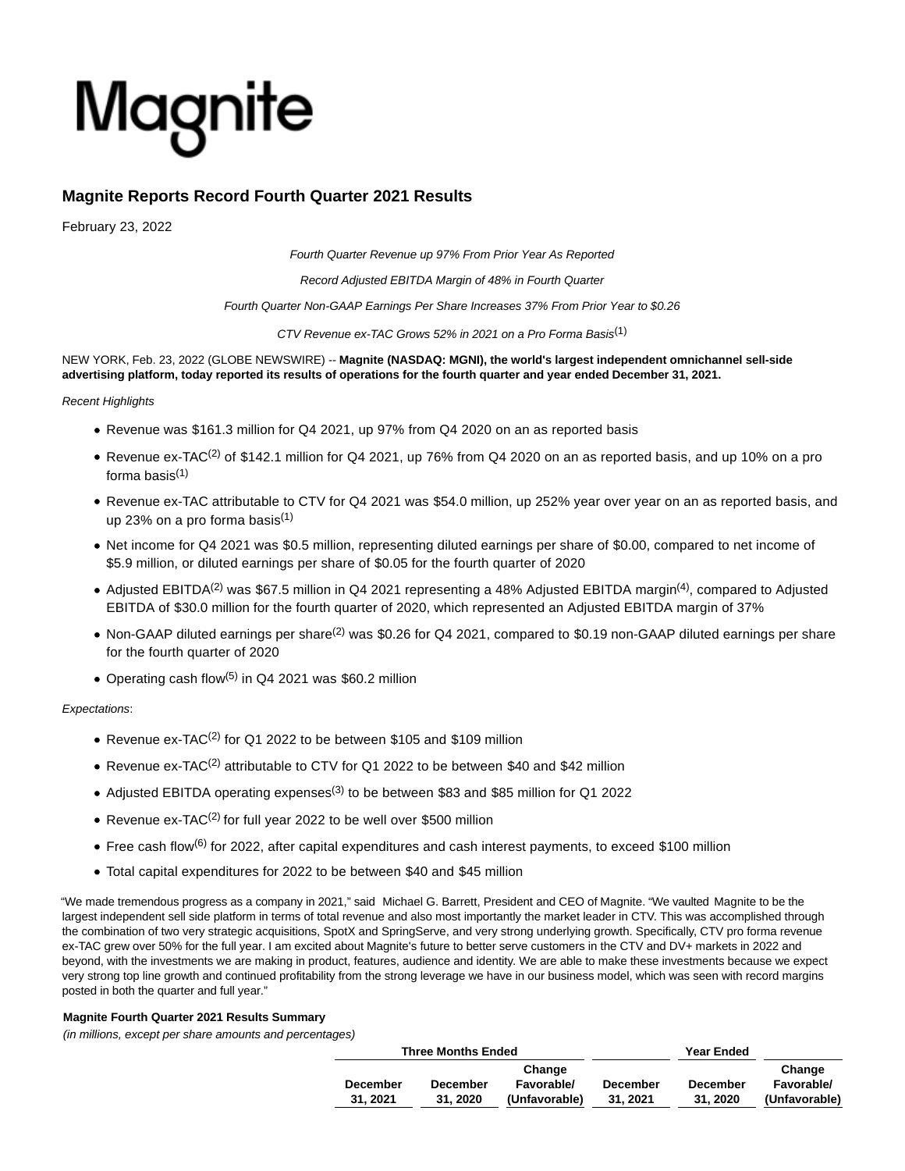# Magnite

# **Magnite Reports Record Fourth Quarter 2021 Results**

February 23, 2022

Fourth Quarter Revenue up 97% From Prior Year As Reported

Record Adjusted EBITDA Margin of 48% in Fourth Quarter

Fourth Quarter Non-GAAP Earnings Per Share Increases 37% From Prior Year to \$0.26

CTV Revenue ex-TAC Grows 52% in 2021 on a Pro Forma Basis(1)

NEW YORK, Feb. 23, 2022 (GLOBE NEWSWIRE) -- **Magnite (NASDAQ: MGNI), the world's largest independent omnichannel sell-side advertising platform, today reported its results of operations for the fourth quarter and year ended December 31, 2021.**

Recent Highlights

- Revenue was \$161.3 million for Q4 2021, up 97% from Q4 2020 on an as reported basis
- Revenue ex-TAC<sup>(2)</sup> of \$142.1 million for Q4 2021, up 76% from Q4 2020 on an as reported basis, and up 10% on a pro forma basis $(1)$
- Revenue ex-TAC attributable to CTV for Q4 2021 was \$54.0 million, up 252% year over year on an as reported basis, and up 23% on a pro forma basis $(1)$
- Net income for Q4 2021 was \$0.5 million, representing diluted earnings per share of \$0.00, compared to net income of \$5.9 million, or diluted earnings per share of \$0.05 for the fourth quarter of 2020
- Adjusted EBITDA<sup>(2)</sup> was \$67.5 million in Q4 2021 representing a 48% Adjusted EBITDA margin<sup>(4)</sup>, compared to Adjusted EBITDA of \$30.0 million for the fourth quarter of 2020, which represented an Adjusted EBITDA margin of 37%
- Non-GAAP diluted earnings per share<sup>(2)</sup> was \$0.26 for Q4 2021, compared to \$0.19 non-GAAP diluted earnings per share for the fourth quarter of 2020
- Operating cash flow<sup>(5)</sup> in Q4 2021 was \$60.2 million

### Expectations:

- Revenue ex-TAC<sup>(2)</sup> for Q1 2022 to be between \$105 and \$109 million
- Revenue ex-TAC<sup>(2)</sup> attributable to CTV for Q1 2022 to be between \$40 and \$42 million
- Adjusted EBITDA operating expenses<sup>(3)</sup> to be between \$83 and \$85 million for Q1 2022
- Revenue ex-TAC<sup>(2)</sup> for full year 2022 to be well over \$500 million
- Free cash flow<sup>(6)</sup> for 2022, after capital expenditures and cash interest payments, to exceed \$100 million
- Total capital expenditures for 2022 to be between \$40 and \$45 million

"We made tremendous progress as a company in 2021," said Michael G. Barrett, President and CEO of Magnite. "We vaulted Magnite to be the largest independent sell side platform in terms of total revenue and also most importantly the market leader in CTV. This was accomplished through the combination of two very strategic acquisitions, SpotX and SpringServe, and very strong underlying growth. Specifically, CTV pro forma revenue ex-TAC grew over 50% for the full year. I am excited about Magnite's future to better serve customers in the CTV and DV+ markets in 2022 and beyond, with the investments we are making in product, features, audience and identity. We are able to make these investments because we expect very strong top line growth and continued profitability from the strong leverage we have in our business model, which was seen with record margins posted in both the quarter and full year."

#### **Magnite Fourth Quarter 2021 Results Summary**

(in millions, except per share amounts and percentages)

| Change<br>Change<br>Favorable/<br><b>December</b><br><b>December</b><br><b>December</b><br><b>December</b> | <b>Three Months Ended</b> |         |         |               |         | <b>Year Ended</b> |                             |
|------------------------------------------------------------------------------------------------------------|---------------------------|---------|---------|---------------|---------|-------------------|-----------------------------|
|                                                                                                            |                           | 31.2021 | 31.2020 | (Unfavorable) | 31.2021 | 31.2020           | Favorable/<br>(Unfavorable) |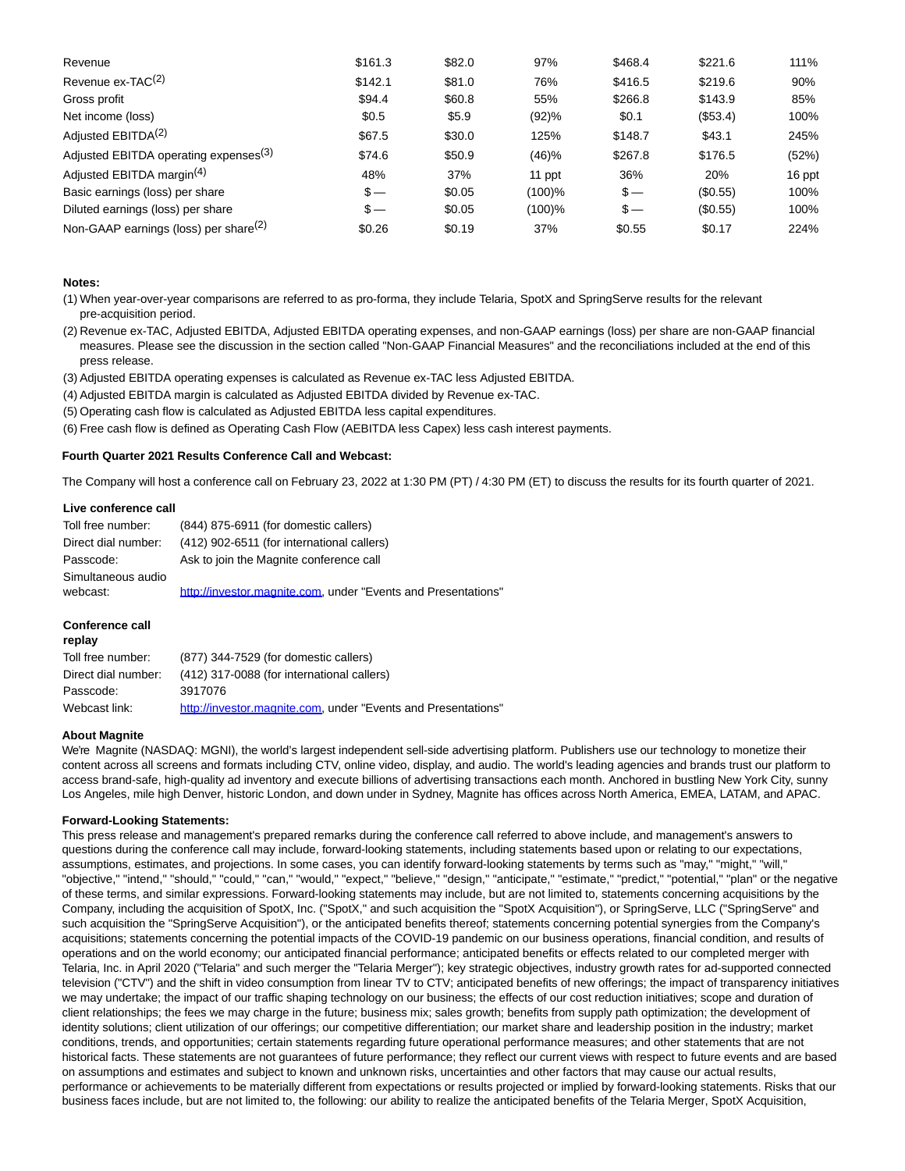| Revenue                                           | \$161.3 | \$82.0 | 97%       | \$468.4 | \$221.6   | 111%   |
|---------------------------------------------------|---------|--------|-----------|---------|-----------|--------|
| Revenue ex-TAC <sup>(2)</sup>                     | \$142.1 | \$81.0 | 76%       | \$416.5 | \$219.6   | 90%    |
| Gross profit                                      | \$94.4  | \$60.8 | 55%       | \$266.8 | \$143.9   | 85%    |
| Net income (loss)                                 | \$0.5   | \$5.9  | (92)%     | \$0.1   | ( \$53.4) | 100%   |
| Adjusted EBITDA <sup>(2)</sup>                    | \$67.5  | \$30.0 | 125%      | \$148.7 | \$43.1    | 245%   |
| Adjusted EBITDA operating expenses <sup>(3)</sup> | \$74.6  | \$50.9 | (46)%     | \$267.8 | \$176.5   | (52%)  |
| Adjusted EBITDA margin <sup>(4)</sup>             | 48%     | 37%    | 11 ppt    | 36%     | 20%       | 16 ppt |
| Basic earnings (loss) per share                   | $s -$   | \$0.05 | $(100)$ % | $s -$   | (\$0.55)  | 100%   |
| Diluted earnings (loss) per share                 | $s -$   | \$0.05 | $(100)$ % | $s -$   | (\$0.55)  | 100%   |
| Non-GAAP earnings (loss) per share <sup>(2)</sup> | \$0.26  | \$0.19 | 37%       | \$0.55  | \$0.17    | 224%   |

## **Notes:**

(1) When year-over-year comparisons are referred to as pro-forma, they include Telaria, SpotX and SpringServe results for the relevant pre-acquisition period.

- (2) Revenue ex-TAC, Adjusted EBITDA, Adjusted EBITDA operating expenses, and non-GAAP earnings (loss) per share are non-GAAP financial measures. Please see the discussion in the section called "Non-GAAP Financial Measures" and the reconciliations included at the end of this press release.
- (3) Adjusted EBITDA operating expenses is calculated as Revenue ex-TAC less Adjusted EBITDA.
- (4) Adjusted EBITDA margin is calculated as Adjusted EBITDA divided by Revenue ex-TAC.
- (5) Operating cash flow is calculated as Adjusted EBITDA less capital expenditures.
- (6) Free cash flow is defined as Operating Cash Flow (AEBITDA less Capex) less cash interest payments.

#### **Fourth Quarter 2021 Results Conference Call and Webcast:**

The Company will host a conference call on February 23, 2022 at 1:30 PM (PT) / 4:30 PM (ET) to discuss the results for its fourth quarter of 2021.

#### **Live conference call**

| Toll free number:   | (844) 875-6911 (for domestic callers)                         |
|---------------------|---------------------------------------------------------------|
| Direct dial number: | (412) 902-6511 (for international callers)                    |
| Passcode:           | Ask to join the Magnite conference call                       |
| Simultaneous audio  |                                                               |
| webcast:            | http://investor.magnite.com. under "Events and Presentations" |

#### **Conference call**

| replay              |                                                               |
|---------------------|---------------------------------------------------------------|
| Toll free number:   | (877) 344-7529 (for domestic callers)                         |
| Direct dial number: | (412) 317-0088 (for international callers)                    |
| Passcode:           | 3917076                                                       |
| Webcast link:       | http://investor.magnite.com, under "Events and Presentations" |

#### **About Magnite**

We're Magnite (NASDAQ: MGNI), the world's largest independent sell-side advertising platform. Publishers use our technology to monetize their content across all screens and formats including CTV, online video, display, and audio. The world's leading agencies and brands trust our platform to access brand-safe, high-quality ad inventory and execute billions of advertising transactions each month. Anchored in bustling New York City, sunny Los Angeles, mile high Denver, historic London, and down under in Sydney, Magnite has offices across North America, EMEA, LATAM, and APAC.

#### **Forward-Looking Statements:**

This press release and management's prepared remarks during the conference call referred to above include, and management's answers to questions during the conference call may include, forward-looking statements, including statements based upon or relating to our expectations, assumptions, estimates, and projections. In some cases, you can identify forward-looking statements by terms such as "may," "might," "will," "objective," "intend," "should," "could," "can," "would," "expect," "believe," "design," "anticipate," "estimate," "predict," "potential," "plan" or the negative of these terms, and similar expressions. Forward-looking statements may include, but are not limited to, statements concerning acquisitions by the Company, including the acquisition of SpotX, Inc. ("SpotX," and such acquisition the "SpotX Acquisition"), or SpringServe, LLC ("SpringServe" and such acquisition the "SpringServe Acquisition"), or the anticipated benefits thereof; statements concerning potential synergies from the Company's acquisitions; statements concerning the potential impacts of the COVID-19 pandemic on our business operations, financial condition, and results of operations and on the world economy; our anticipated financial performance; anticipated benefits or effects related to our completed merger with Telaria, Inc. in April 2020 ("Telaria" and such merger the "Telaria Merger"); key strategic objectives, industry growth rates for ad-supported connected television ("CTV") and the shift in video consumption from linear TV to CTV; anticipated benefits of new offerings; the impact of transparency initiatives we may undertake; the impact of our traffic shaping technology on our business; the effects of our cost reduction initiatives; scope and duration of client relationships; the fees we may charge in the future; business mix; sales growth; benefits from supply path optimization; the development of identity solutions; client utilization of our offerings; our competitive differentiation; our market share and leadership position in the industry; market conditions, trends, and opportunities; certain statements regarding future operational performance measures; and other statements that are not historical facts. These statements are not guarantees of future performance; they reflect our current views with respect to future events and are based on assumptions and estimates and subject to known and unknown risks, uncertainties and other factors that may cause our actual results, performance or achievements to be materially different from expectations or results projected or implied by forward-looking statements. Risks that our business faces include, but are not limited to, the following: our ability to realize the anticipated benefits of the Telaria Merger, SpotX Acquisition,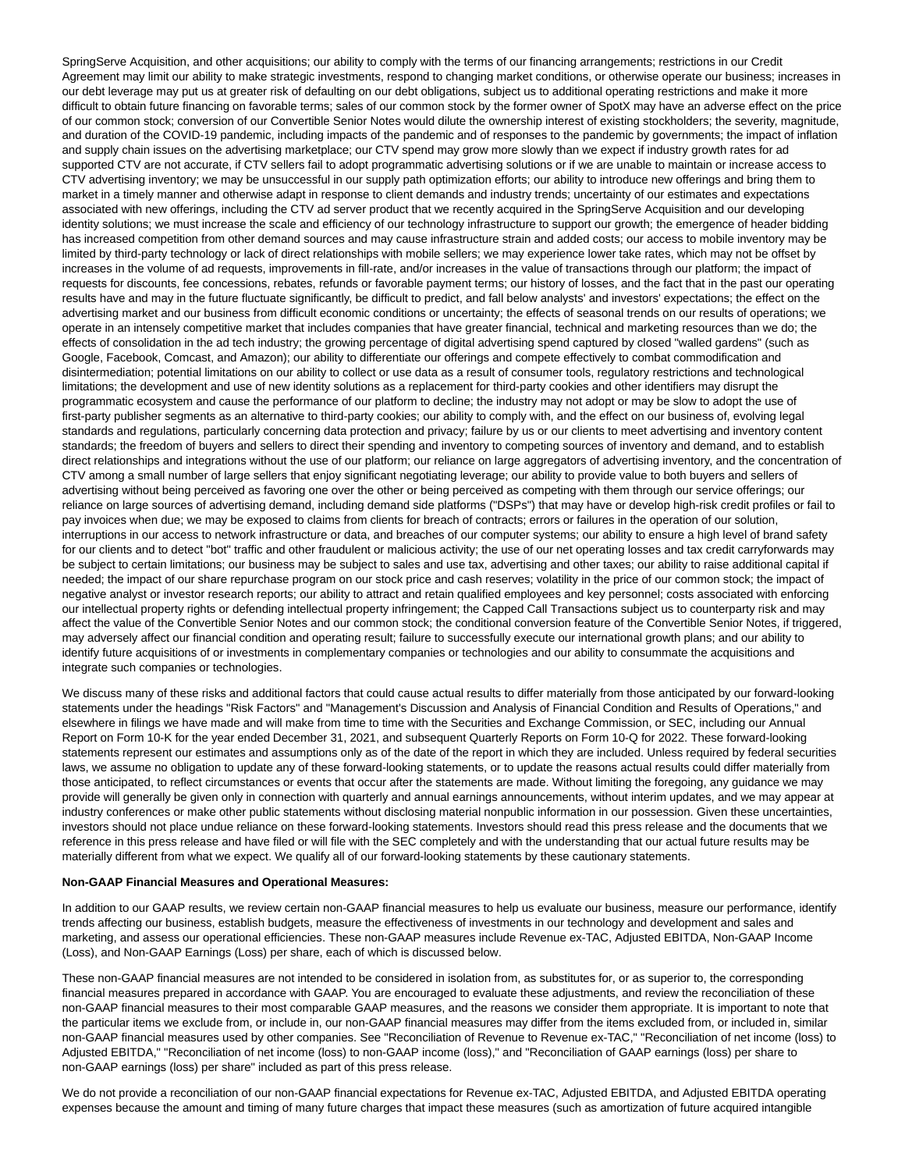SpringServe Acquisition, and other acquisitions; our ability to comply with the terms of our financing arrangements; restrictions in our Credit Agreement may limit our ability to make strategic investments, respond to changing market conditions, or otherwise operate our business; increases in our debt leverage may put us at greater risk of defaulting on our debt obligations, subject us to additional operating restrictions and make it more difficult to obtain future financing on favorable terms; sales of our common stock by the former owner of SpotX may have an adverse effect on the price of our common stock; conversion of our Convertible Senior Notes would dilute the ownership interest of existing stockholders; the severity, magnitude, and duration of the COVID-19 pandemic, including impacts of the pandemic and of responses to the pandemic by governments; the impact of inflation and supply chain issues on the advertising marketplace; our CTV spend may grow more slowly than we expect if industry growth rates for ad supported CTV are not accurate, if CTV sellers fail to adopt programmatic advertising solutions or if we are unable to maintain or increase access to CTV advertising inventory; we may be unsuccessful in our supply path optimization efforts; our ability to introduce new offerings and bring them to market in a timely manner and otherwise adapt in response to client demands and industry trends; uncertainty of our estimates and expectations associated with new offerings, including the CTV ad server product that we recently acquired in the SpringServe Acquisition and our developing identity solutions; we must increase the scale and efficiency of our technology infrastructure to support our growth; the emergence of header bidding has increased competition from other demand sources and may cause infrastructure strain and added costs; our access to mobile inventory may be limited by third-party technology or lack of direct relationships with mobile sellers; we may experience lower take rates, which may not be offset by increases in the volume of ad requests, improvements in fill-rate, and/or increases in the value of transactions through our platform; the impact of requests for discounts, fee concessions, rebates, refunds or favorable payment terms; our history of losses, and the fact that in the past our operating results have and may in the future fluctuate significantly, be difficult to predict, and fall below analysts' and investors' expectations; the effect on the advertising market and our business from difficult economic conditions or uncertainty; the effects of seasonal trends on our results of operations; we operate in an intensely competitive market that includes companies that have greater financial, technical and marketing resources than we do; the effects of consolidation in the ad tech industry; the growing percentage of digital advertising spend captured by closed "walled gardens" (such as Google, Facebook, Comcast, and Amazon); our ability to differentiate our offerings and compete effectively to combat commodification and disintermediation; potential limitations on our ability to collect or use data as a result of consumer tools, regulatory restrictions and technological limitations; the development and use of new identity solutions as a replacement for third-party cookies and other identifiers may disrupt the programmatic ecosystem and cause the performance of our platform to decline; the industry may not adopt or may be slow to adopt the use of first-party publisher segments as an alternative to third-party cookies; our ability to comply with, and the effect on our business of, evolving legal standards and regulations, particularly concerning data protection and privacy; failure by us or our clients to meet advertising and inventory content standards; the freedom of buyers and sellers to direct their spending and inventory to competing sources of inventory and demand, and to establish direct relationships and integrations without the use of our platform; our reliance on large aggregators of advertising inventory, and the concentration of CTV among a small number of large sellers that enjoy significant negotiating leverage; our ability to provide value to both buyers and sellers of advertising without being perceived as favoring one over the other or being perceived as competing with them through our service offerings; our reliance on large sources of advertising demand, including demand side platforms ("DSPs") that may have or develop high-risk credit profiles or fail to pay invoices when due; we may be exposed to claims from clients for breach of contracts; errors or failures in the operation of our solution, interruptions in our access to network infrastructure or data, and breaches of our computer systems; our ability to ensure a high level of brand safety for our clients and to detect "bot" traffic and other fraudulent or malicious activity; the use of our net operating losses and tax credit carryforwards may be subject to certain limitations; our business may be subject to sales and use tax, advertising and other taxes; our ability to raise additional capital if needed; the impact of our share repurchase program on our stock price and cash reserves; volatility in the price of our common stock; the impact of negative analyst or investor research reports; our ability to attract and retain qualified employees and key personnel; costs associated with enforcing our intellectual property rights or defending intellectual property infringement; the Capped Call Transactions subject us to counterparty risk and may affect the value of the Convertible Senior Notes and our common stock; the conditional conversion feature of the Convertible Senior Notes, if triggered, may adversely affect our financial condition and operating result; failure to successfully execute our international growth plans; and our ability to identify future acquisitions of or investments in complementary companies or technologies and our ability to consummate the acquisitions and integrate such companies or technologies.

We discuss many of these risks and additional factors that could cause actual results to differ materially from those anticipated by our forward-looking statements under the headings "Risk Factors" and "Management's Discussion and Analysis of Financial Condition and Results of Operations," and elsewhere in filings we have made and will make from time to time with the Securities and Exchange Commission, or SEC, including our Annual Report on Form 10-K for the year ended December 31, 2021, and subsequent Quarterly Reports on Form 10-Q for 2022. These forward-looking statements represent our estimates and assumptions only as of the date of the report in which they are included. Unless required by federal securities laws, we assume no obligation to update any of these forward-looking statements, or to update the reasons actual results could differ materially from those anticipated, to reflect circumstances or events that occur after the statements are made. Without limiting the foregoing, any guidance we may provide will generally be given only in connection with quarterly and annual earnings announcements, without interim updates, and we may appear at industry conferences or make other public statements without disclosing material nonpublic information in our possession. Given these uncertainties, investors should not place undue reliance on these forward-looking statements. Investors should read this press release and the documents that we reference in this press release and have filed or will file with the SEC completely and with the understanding that our actual future results may be materially different from what we expect. We qualify all of our forward-looking statements by these cautionary statements.

#### **Non-GAAP Financial Measures and Operational Measures:**

In addition to our GAAP results, we review certain non-GAAP financial measures to help us evaluate our business, measure our performance, identify trends affecting our business, establish budgets, measure the effectiveness of investments in our technology and development and sales and marketing, and assess our operational efficiencies. These non-GAAP measures include Revenue ex-TAC, Adjusted EBITDA, Non-GAAP Income (Loss), and Non-GAAP Earnings (Loss) per share, each of which is discussed below.

These non-GAAP financial measures are not intended to be considered in isolation from, as substitutes for, or as superior to, the corresponding financial measures prepared in accordance with GAAP. You are encouraged to evaluate these adjustments, and review the reconciliation of these non-GAAP financial measures to their most comparable GAAP measures, and the reasons we consider them appropriate. It is important to note that the particular items we exclude from, or include in, our non-GAAP financial measures may differ from the items excluded from, or included in, similar non-GAAP financial measures used by other companies. See "Reconciliation of Revenue to Revenue ex-TAC," "Reconciliation of net income (loss) to Adjusted EBITDA," "Reconciliation of net income (loss) to non-GAAP income (loss)," and "Reconciliation of GAAP earnings (loss) per share to non-GAAP earnings (loss) per share" included as part of this press release.

We do not provide a reconciliation of our non-GAAP financial expectations for Revenue ex-TAC, Adjusted EBITDA, and Adjusted EBITDA operating expenses because the amount and timing of many future charges that impact these measures (such as amortization of future acquired intangible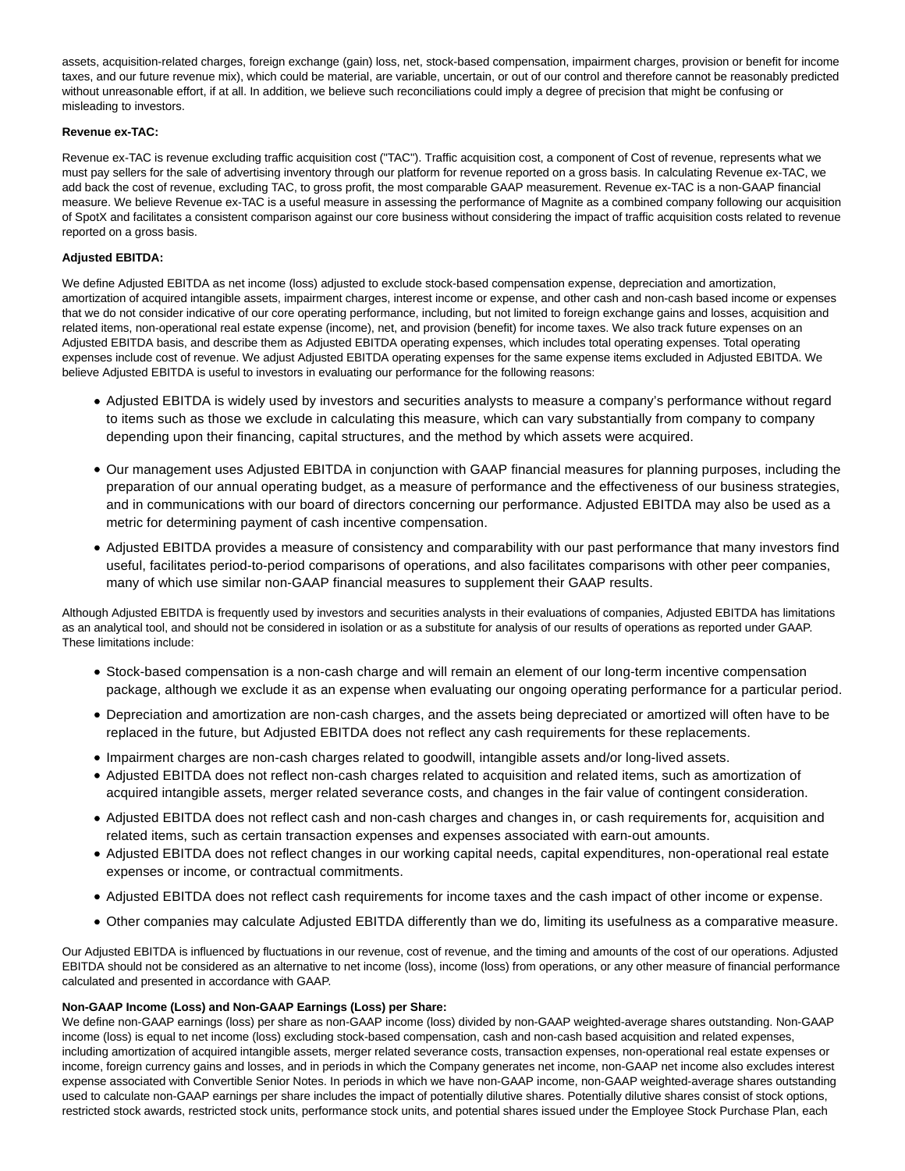assets, acquisition-related charges, foreign exchange (gain) loss, net, stock-based compensation, impairment charges, provision or benefit for income taxes, and our future revenue mix), which could be material, are variable, uncertain, or out of our control and therefore cannot be reasonably predicted without unreasonable effort, if at all. In addition, we believe such reconciliations could imply a degree of precision that might be confusing or misleading to investors.

#### **Revenue ex-TAC:**

Revenue ex-TAC is revenue excluding traffic acquisition cost ("TAC"). Traffic acquisition cost, a component of Cost of revenue, represents what we must pay sellers for the sale of advertising inventory through our platform for revenue reported on a gross basis. In calculating Revenue ex-TAC, we add back the cost of revenue, excluding TAC, to gross profit, the most comparable GAAP measurement. Revenue ex-TAC is a non-GAAP financial measure. We believe Revenue ex-TAC is a useful measure in assessing the performance of Magnite as a combined company following our acquisition of SpotX and facilitates a consistent comparison against our core business without considering the impact of traffic acquisition costs related to revenue reported on a gross basis.

#### **Adjusted EBITDA:**

We define Adjusted EBITDA as net income (loss) adjusted to exclude stock-based compensation expense, depreciation and amortization, amortization of acquired intangible assets, impairment charges, interest income or expense, and other cash and non-cash based income or expenses that we do not consider indicative of our core operating performance, including, but not limited to foreign exchange gains and losses, acquisition and related items, non-operational real estate expense (income), net, and provision (benefit) for income taxes. We also track future expenses on an Adjusted EBITDA basis, and describe them as Adjusted EBITDA operating expenses, which includes total operating expenses. Total operating expenses include cost of revenue. We adjust Adjusted EBITDA operating expenses for the same expense items excluded in Adjusted EBITDA. We believe Adjusted EBITDA is useful to investors in evaluating our performance for the following reasons:

- Adjusted EBITDA is widely used by investors and securities analysts to measure a company's performance without regard to items such as those we exclude in calculating this measure, which can vary substantially from company to company depending upon their financing, capital structures, and the method by which assets were acquired.
- Our management uses Adjusted EBITDA in conjunction with GAAP financial measures for planning purposes, including the preparation of our annual operating budget, as a measure of performance and the effectiveness of our business strategies, and in communications with our board of directors concerning our performance. Adjusted EBITDA may also be used as a metric for determining payment of cash incentive compensation.
- Adjusted EBITDA provides a measure of consistency and comparability with our past performance that many investors find useful, facilitates period-to-period comparisons of operations, and also facilitates comparisons with other peer companies, many of which use similar non-GAAP financial measures to supplement their GAAP results.

Although Adjusted EBITDA is frequently used by investors and securities analysts in their evaluations of companies, Adjusted EBITDA has limitations as an analytical tool, and should not be considered in isolation or as a substitute for analysis of our results of operations as reported under GAAP. These limitations include:

- Stock-based compensation is a non-cash charge and will remain an element of our long-term incentive compensation package, although we exclude it as an expense when evaluating our ongoing operating performance for a particular period.
- Depreciation and amortization are non-cash charges, and the assets being depreciated or amortized will often have to be replaced in the future, but Adjusted EBITDA does not reflect any cash requirements for these replacements.
- Impairment charges are non-cash charges related to goodwill, intangible assets and/or long-lived assets.
- Adjusted EBITDA does not reflect non-cash charges related to acquisition and related items, such as amortization of acquired intangible assets, merger related severance costs, and changes in the fair value of contingent consideration.
- Adjusted EBITDA does not reflect cash and non-cash charges and changes in, or cash requirements for, acquisition and related items, such as certain transaction expenses and expenses associated with earn-out amounts.
- Adjusted EBITDA does not reflect changes in our working capital needs, capital expenditures, non-operational real estate expenses or income, or contractual commitments.
- Adjusted EBITDA does not reflect cash requirements for income taxes and the cash impact of other income or expense.
- Other companies may calculate Adjusted EBITDA differently than we do, limiting its usefulness as a comparative measure.

Our Adjusted EBITDA is influenced by fluctuations in our revenue, cost of revenue, and the timing and amounts of the cost of our operations. Adjusted EBITDA should not be considered as an alternative to net income (loss), income (loss) from operations, or any other measure of financial performance calculated and presented in accordance with GAAP.

## **Non-GAAP Income (Loss) and Non-GAAP Earnings (Loss) per Share:**

We define non-GAAP earnings (loss) per share as non-GAAP income (loss) divided by non-GAAP weighted-average shares outstanding. Non-GAAP income (loss) is equal to net income (loss) excluding stock-based compensation, cash and non-cash based acquisition and related expenses, including amortization of acquired intangible assets, merger related severance costs, transaction expenses, non-operational real estate expenses or income, foreign currency gains and losses, and in periods in which the Company generates net income, non-GAAP net income also excludes interest expense associated with Convertible Senior Notes. In periods in which we have non-GAAP income, non-GAAP weighted-average shares outstanding used to calculate non-GAAP earnings per share includes the impact of potentially dilutive shares. Potentially dilutive shares consist of stock options, restricted stock awards, restricted stock units, performance stock units, and potential shares issued under the Employee Stock Purchase Plan, each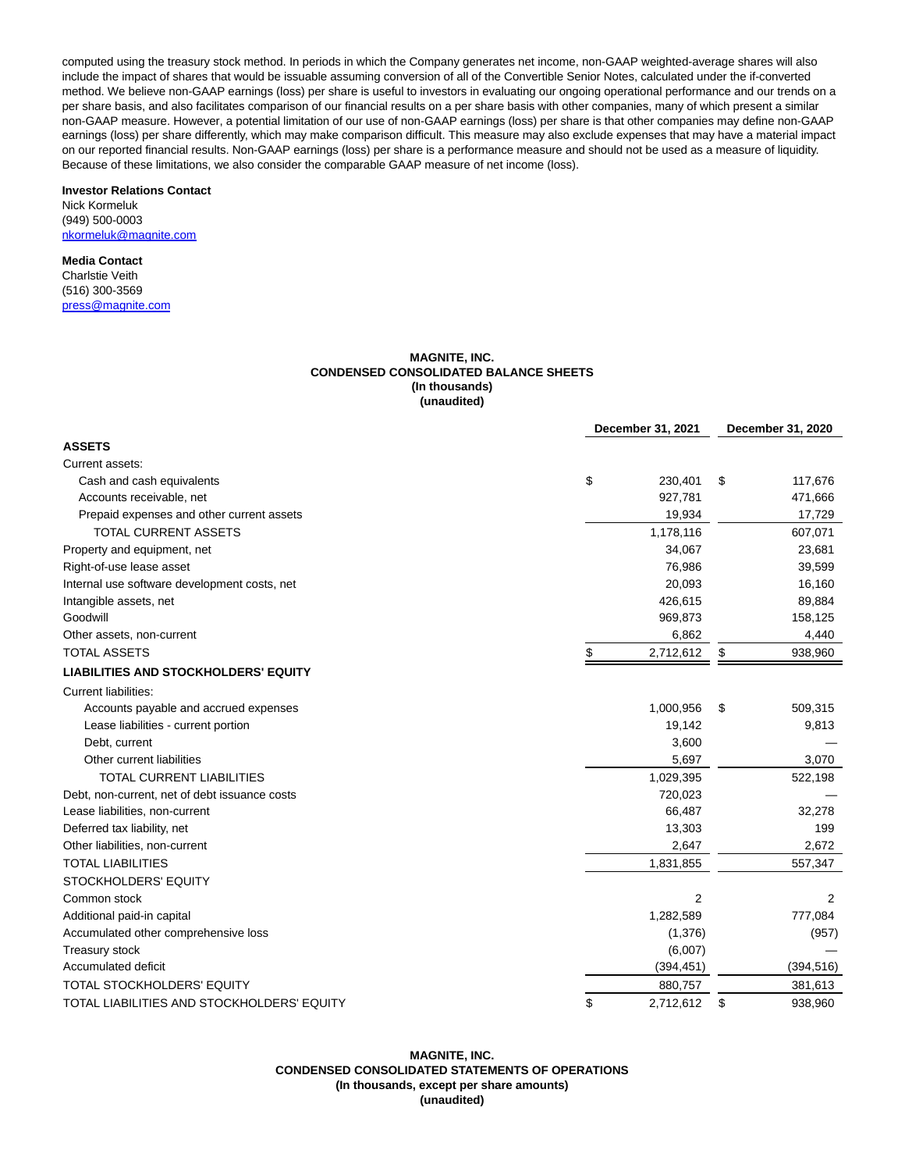computed using the treasury stock method. In periods in which the Company generates net income, non-GAAP weighted-average shares will also include the impact of shares that would be issuable assuming conversion of all of the Convertible Senior Notes, calculated under the if-converted method. We believe non-GAAP earnings (loss) per share is useful to investors in evaluating our ongoing operational performance and our trends on a per share basis, and also facilitates comparison of our financial results on a per share basis with other companies, many of which present a similar non-GAAP measure. However, a potential limitation of our use of non-GAAP earnings (loss) per share is that other companies may define non-GAAP earnings (loss) per share differently, which may make comparison difficult. This measure may also exclude expenses that may have a material impact on our reported financial results. Non-GAAP earnings (loss) per share is a performance measure and should not be used as a measure of liquidity. Because of these limitations, we also consider the comparable GAAP measure of net income (loss).

#### **Investor Relations Contact**

Nick Kormeluk (949) 500-0003 [nkormeluk@magnite.com](https://www.globenewswire.com/Tracker?data=HS_352RZ2nbN4H-PuX2xxQl3sFroA2zHXEAbucxjoE4NMNxJMLHDZE6lcQJYh63at4AseylM_6HX3zFmI8EW8nR2NZRoCECAcyKgNFAr-pY=)

#### **Media Contact**

Charlstie Veith (516) 300-3569 [press@magnite.com](https://www.globenewswire.com/Tracker?data=Kik2tmNKh6zNX8X4GCysBHXhukRgz1_li04VHxYr14L1zBhwxERd3iPytkh1zgi7HIsTSesVv3k42En4CnbAqA==)

#### **MAGNITE, INC. CONDENSED CONSOLIDATED BALANCE SHEETS (In thousands) (unaudited)**

|                                               | December 31, 2021 | December 31, 2020 |    |            |
|-----------------------------------------------|-------------------|-------------------|----|------------|
| <b>ASSETS</b>                                 |                   |                   |    |            |
| Current assets:                               |                   |                   |    |            |
| Cash and cash equivalents                     | \$                | 230,401           | \$ | 117,676    |
| Accounts receivable, net                      |                   | 927,781           |    | 471,666    |
| Prepaid expenses and other current assets     |                   | 19,934            |    | 17,729     |
| <b>TOTAL CURRENT ASSETS</b>                   |                   | 1,178,116         |    | 607,071    |
| Property and equipment, net                   |                   | 34,067            |    | 23,681     |
| Right-of-use lease asset                      |                   | 76,986            |    | 39,599     |
| Internal use software development costs, net  |                   | 20,093            |    | 16,160     |
| Intangible assets, net                        |                   | 426,615           |    | 89,884     |
| Goodwill                                      |                   | 969,873           |    | 158,125    |
| Other assets, non-current                     |                   | 6,862             |    | 4,440      |
| <b>TOTAL ASSETS</b>                           | \$                | 2,712,612         | \$ | 938,960    |
| <b>LIABILITIES AND STOCKHOLDERS' EQUITY</b>   |                   |                   |    |            |
| <b>Current liabilities:</b>                   |                   |                   |    |            |
| Accounts payable and accrued expenses         |                   | 1,000,956         | \$ | 509,315    |
| Lease liabilities - current portion           |                   | 19,142            |    | 9,813      |
| Debt, current                                 |                   | 3,600             |    |            |
| Other current liabilities                     |                   | 5,697             |    | 3,070      |
| <b>TOTAL CURRENT LIABILITIES</b>              |                   | 1,029,395         |    | 522,198    |
| Debt, non-current, net of debt issuance costs |                   | 720,023           |    |            |
| Lease liabilities, non-current                |                   | 66,487            |    | 32,278     |
| Deferred tax liability, net                   |                   | 13,303            |    | 199        |
| Other liabilities, non-current                |                   | 2,647             |    | 2,672      |
| <b>TOTAL LIABILITIES</b>                      |                   | 1,831,855         |    | 557,347    |
| STOCKHOLDERS' EQUITY                          |                   |                   |    |            |
| Common stock                                  |                   | $\overline{2}$    |    | 2          |
| Additional paid-in capital                    |                   | 1,282,589         |    | 777,084    |
| Accumulated other comprehensive loss          |                   | (1, 376)          |    | (957)      |
| Treasury stock                                |                   | (6,007)           |    |            |
| Accumulated deficit                           |                   | (394, 451)        |    | (394, 516) |
| <b>TOTAL STOCKHOLDERS' EQUITY</b>             |                   | 880,757           |    | 381,613    |
| TOTAL LIABILITIES AND STOCKHOLDERS' EQUITY    | \$                | 2,712,612         | \$ | 938,960    |

**MAGNITE, INC. CONDENSED CONSOLIDATED STATEMENTS OF OPERATIONS (In thousands, except per share amounts) (unaudited)**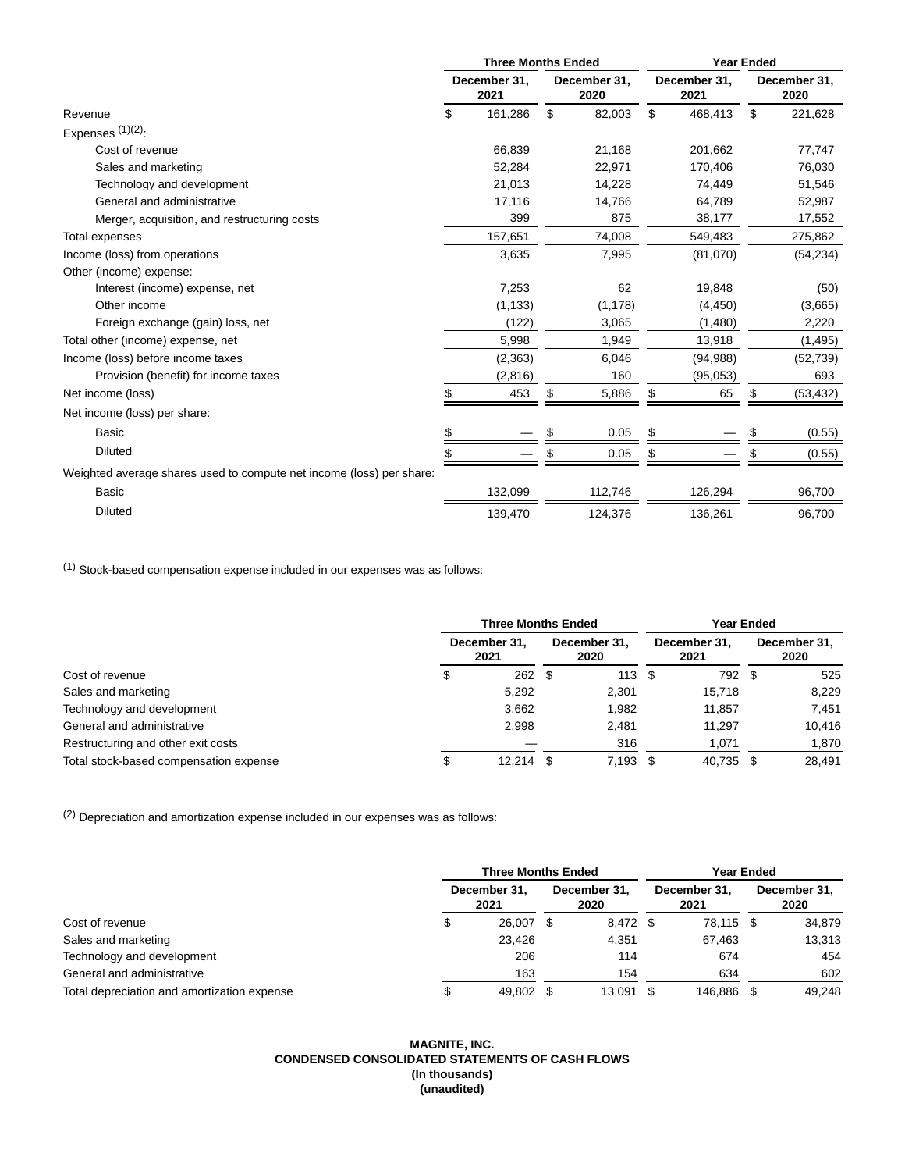|                                                                      |                      | <b>Three Months Ended</b> |                      |          | <b>Year Ended</b>    |           |                      |           |
|----------------------------------------------------------------------|----------------------|---------------------------|----------------------|----------|----------------------|-----------|----------------------|-----------|
|                                                                      | December 31,<br>2021 |                           | December 31,<br>2020 |          | December 31,<br>2021 |           | December 31,<br>2020 |           |
| Revenue                                                              | \$                   | 161,286                   | \$                   | 82,003   | \$                   | 468,413   | \$                   | 221,628   |
| Expenses $(1)(2)$ :                                                  |                      |                           |                      |          |                      |           |                      |           |
| Cost of revenue                                                      |                      | 66,839                    |                      | 21,168   |                      | 201,662   |                      | 77,747    |
| Sales and marketing                                                  |                      | 52,284                    |                      | 22,971   |                      | 170,406   |                      | 76,030    |
| Technology and development                                           |                      | 21.013                    |                      | 14,228   |                      | 74,449    |                      | 51,546    |
| General and administrative                                           |                      | 17,116                    |                      | 14,766   |                      | 64,789    |                      | 52,987    |
| Merger, acquisition, and restructuring costs                         |                      | 399                       |                      | 875      |                      | 38,177    |                      | 17,552    |
| Total expenses                                                       |                      | 157,651                   |                      | 74,008   |                      | 549,483   |                      | 275,862   |
| Income (loss) from operations                                        |                      | 3,635                     |                      | 7,995    |                      | (81,070)  |                      | (54, 234) |
| Other (income) expense:                                              |                      |                           |                      |          |                      |           |                      |           |
| Interest (income) expense, net                                       |                      | 7,253                     |                      | 62       |                      | 19,848    |                      | (50)      |
| Other income                                                         |                      | (1, 133)                  |                      | (1, 178) |                      | (4, 450)  |                      | (3,665)   |
| Foreign exchange (gain) loss, net                                    |                      | (122)                     |                      | 3,065    |                      | (1,480)   |                      | 2,220     |
| Total other (income) expense, net                                    |                      | 5,998                     |                      | 1,949    |                      | 13,918    |                      | (1, 495)  |
| Income (loss) before income taxes                                    |                      | (2,363)                   |                      | 6,046    |                      | (94, 988) |                      | (52, 739) |
| Provision (benefit) for income taxes                                 |                      | (2,816)                   |                      | 160      |                      | (95,053)  |                      | 693       |
| Net income (loss)                                                    | \$                   | 453                       | \$                   | 5,886    | S.                   | 65        | \$                   | (53, 432) |
| Net income (loss) per share:                                         |                      |                           |                      |          |                      |           |                      |           |
| <b>Basic</b>                                                         | S                    |                           | \$                   | 0.05     |                      |           |                      | (0.55)    |
| <b>Diluted</b>                                                       | \$                   |                           |                      | 0.05     |                      |           |                      | (0.55)    |
| Weighted average shares used to compute net income (loss) per share: |                      |                           |                      |          |                      |           |                      |           |
| Basic                                                                |                      | 132,099                   |                      | 112,746  |                      | 126,294   |                      | 96,700    |
| <b>Diluted</b>                                                       |                      | 139,470                   |                      | 124,376  |                      | 136,261   |                      | 96,700    |

(1) Stock-based compensation expense included in our expenses was as follows:

|                                        | <b>Three Months Ended</b> |      |                      |      |                      | <b>Year Ended</b> |                      |  |  |
|----------------------------------------|---------------------------|------|----------------------|------|----------------------|-------------------|----------------------|--|--|
|                                        | December 31,<br>2021      |      | December 31,<br>2020 |      | December 31,<br>2021 |                   | December 31,<br>2020 |  |  |
| Cost of revenue                        | \$<br>262                 | - \$ | 113                  | - \$ | 792 \$               |                   | 525                  |  |  |
| Sales and marketing                    | 5.292                     |      | 2.301                |      | 15.718               |                   | 8,229                |  |  |
| Technology and development             | 3.662                     |      | 1.982                |      | 11.857               |                   | 7.451                |  |  |
| General and administrative             | 2.998                     |      | 2.481                |      | 11.297               |                   | 10,416               |  |  |
| Restructuring and other exit costs     |                           |      | 316                  |      | 1.071                |                   | 1,870                |  |  |
| Total stock-based compensation expense | 12.214                    |      | 7,193                |      | 40.735               |                   | 28.491               |  |  |

(2) Depreciation and amortization expense included in our expenses was as follows:

|                                             | <b>Three Months Ended</b> |  |                      |  | Year Ended           |  |                      |  |
|---------------------------------------------|---------------------------|--|----------------------|--|----------------------|--|----------------------|--|
|                                             | December 31.<br>2021      |  | December 31.<br>2020 |  | December 31.<br>2021 |  | December 31.<br>2020 |  |
| Cost of revenue                             | 26,007 \$                 |  | 8.472 \$             |  | 78.115 \$            |  | 34,879               |  |
| Sales and marketing                         | 23.426                    |  | 4.351                |  | 67.463               |  | 13,313               |  |
| Technology and development                  | 206                       |  | 114                  |  | 674                  |  | 454                  |  |
| General and administrative                  | 163                       |  | 154                  |  | 634                  |  | 602                  |  |
| Total depreciation and amortization expense | 49,802 \$                 |  | 13,091               |  | 146.886              |  | 49.248               |  |

**MAGNITE, INC. CONDENSED CONSOLIDATED STATEMENTS OF CASH FLOWS (In thousands) (unaudited)**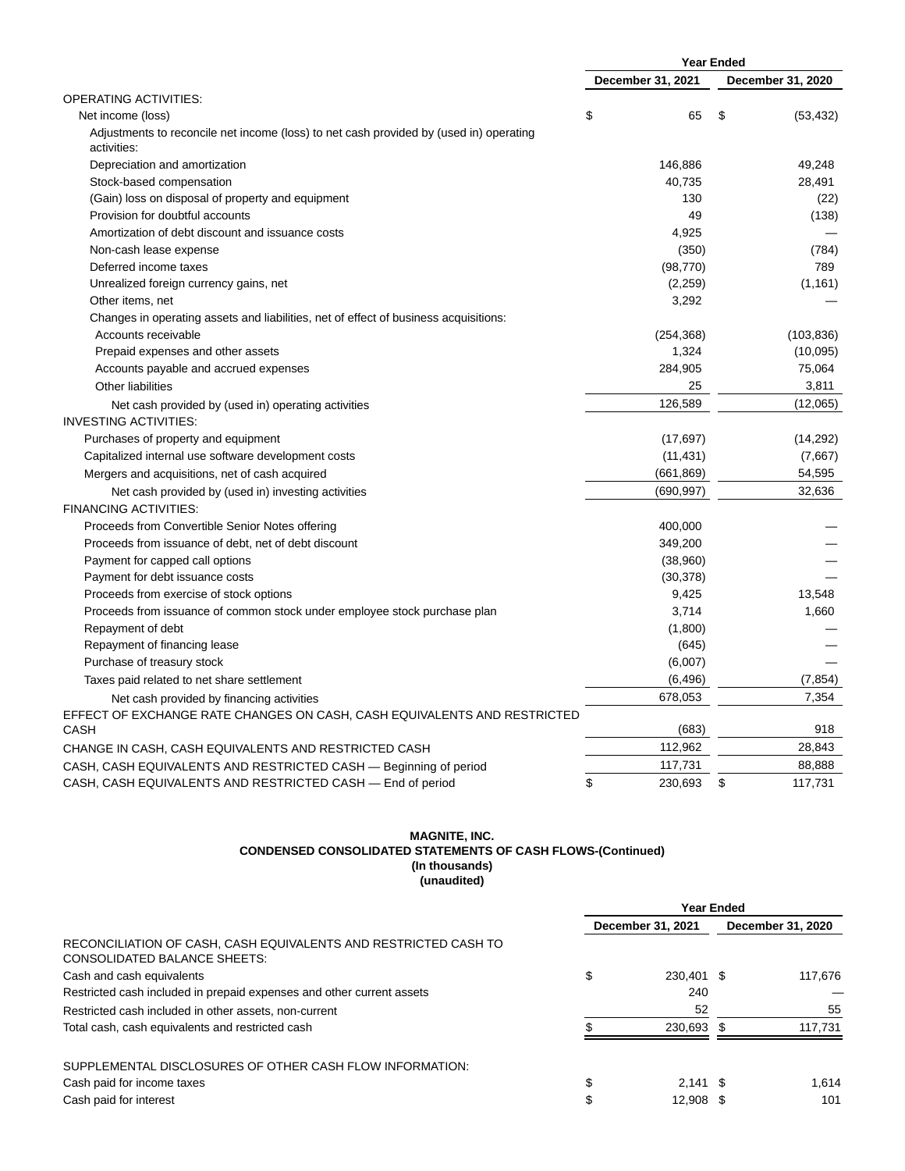|                                                                                                       |                   | <b>Year Ended</b> |
|-------------------------------------------------------------------------------------------------------|-------------------|-------------------|
|                                                                                                       | December 31, 2021 | December 31, 2020 |
| OPERATING ACTIVITIES:                                                                                 |                   |                   |
| Net income (loss)                                                                                     | \$<br>65          | \$<br>(53, 432)   |
| Adjustments to reconcile net income (loss) to net cash provided by (used in) operating<br>activities: |                   |                   |
| Depreciation and amortization                                                                         | 146,886           | 49,248            |
| Stock-based compensation                                                                              | 40,735            | 28,491            |
| (Gain) loss on disposal of property and equipment                                                     | 130               | (22)              |
| Provision for doubtful accounts                                                                       | 49                | (138)             |
| Amortization of debt discount and issuance costs                                                      | 4,925             |                   |
| Non-cash lease expense                                                                                | (350)             | (784)             |
| Deferred income taxes                                                                                 | (98, 770)         | 789               |
| Unrealized foreign currency gains, net                                                                | (2,259)           | (1, 161)          |
| Other items, net                                                                                      | 3,292             |                   |
| Changes in operating assets and liabilities, net of effect of business acquisitions:                  |                   |                   |
| Accounts receivable                                                                                   | (254, 368)        | (103, 836)        |
| Prepaid expenses and other assets                                                                     | 1,324             | (10,095)          |
| Accounts payable and accrued expenses                                                                 | 284,905           | 75,064            |
| <b>Other liabilities</b>                                                                              | 25                | 3,811             |
| Net cash provided by (used in) operating activities                                                   | 126,589           | (12,065)          |
| <b>INVESTING ACTIVITIES:</b>                                                                          |                   |                   |
| Purchases of property and equipment                                                                   | (17, 697)         | (14, 292)         |
| Capitalized internal use software development costs                                                   | (11, 431)         | (7,667)           |
| Mergers and acquisitions, net of cash acquired                                                        | (661, 869)        | 54,595            |
| Net cash provided by (used in) investing activities                                                   | (690, 997)        | 32,636            |
| <b>FINANCING ACTIVITIES:</b>                                                                          |                   |                   |
| Proceeds from Convertible Senior Notes offering                                                       | 400,000           |                   |
| Proceeds from issuance of debt, net of debt discount                                                  | 349,200           |                   |
| Payment for capped call options                                                                       | (38,960)          |                   |
| Payment for debt issuance costs                                                                       | (30, 378)         |                   |
| Proceeds from exercise of stock options                                                               | 9,425             | 13,548            |
| Proceeds from issuance of common stock under employee stock purchase plan                             | 3,714             | 1,660             |
| Repayment of debt                                                                                     | (1,800)           |                   |
| Repayment of financing lease                                                                          | (645)             |                   |
| Purchase of treasury stock                                                                            | (6,007)           |                   |
| Taxes paid related to net share settlement                                                            | (6, 496)          | (7, 854)          |
| Net cash provided by financing activities                                                             | 678,053           | 7,354             |
| EFFECT OF EXCHANGE RATE CHANGES ON CASH, CASH EQUIVALENTS AND RESTRICTED                              |                   |                   |
| <b>CASH</b>                                                                                           | (683)             | 918               |
| CHANGE IN CASH, CASH EQUIVALENTS AND RESTRICTED CASH                                                  | 112,962           | 28,843            |
| CASH, CASH EQUIVALENTS AND RESTRICTED CASH — Beginning of period                                      | 117,731           | 88,888            |
| CASH, CASH EQUIVALENTS AND RESTRICTED CASH - End of period                                            | \$<br>230,693     | \$<br>117,731     |

#### **MAGNITE, INC. CONDENSED CONSOLIDATED STATEMENTS OF CASH FLOWS-(Continued) (In thousands) (unaudited)**

|                                                                                                 |    |                   | <b>Year Ended</b> |         |  |
|-------------------------------------------------------------------------------------------------|----|-------------------|-------------------|---------|--|
|                                                                                                 |    | December 31, 2021 | December 31, 2020 |         |  |
| RECONCILIATION OF CASH, CASH EQUIVALENTS AND RESTRICTED CASH TO<br>CONSOLIDATED BALANCE SHEETS: |    |                   |                   |         |  |
| Cash and cash equivalents                                                                       | \$ | 230.401 \$        |                   | 117.676 |  |
| Restricted cash included in prepaid expenses and other current assets                           |    | 240               |                   |         |  |
| Restricted cash included in other assets, non-current                                           |    | 52                |                   | 55      |  |
| Total cash, cash equivalents and restricted cash                                                |    | 230.693 \$        |                   | 117,731 |  |
| SUPPLEMENTAL DISCLOSURES OF OTHER CASH FLOW INFORMATION:                                        |    |                   |                   |         |  |
| Cash paid for income taxes                                                                      | \$ | $2.141$ \$        |                   | 1.614   |  |
| Cash paid for interest                                                                          | \$ | 12.908 \$         |                   | 101     |  |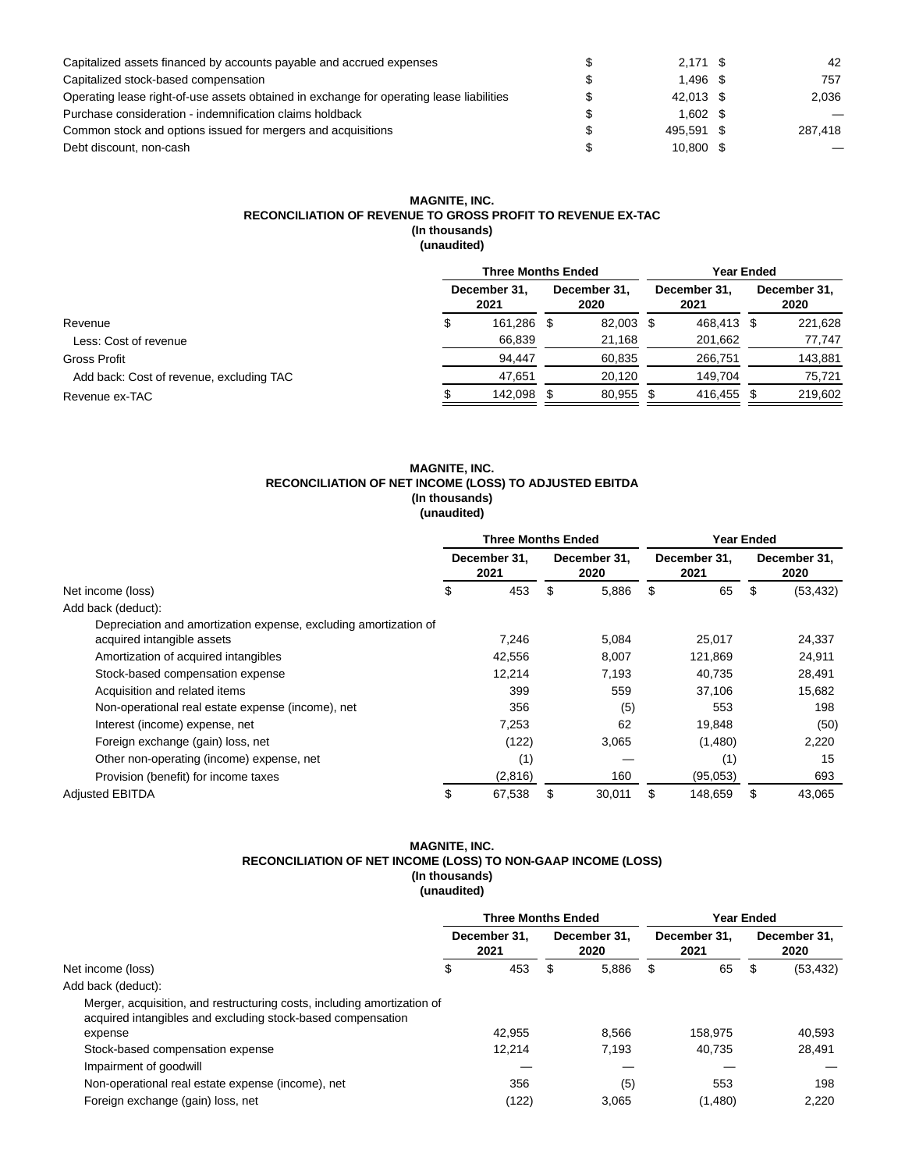| Capitalized assets financed by accounts payable and accrued expenses                     |     | $2.171$ \$  | 42      |
|------------------------------------------------------------------------------------------|-----|-------------|---------|
| Capitalized stock-based compensation                                                     |     | $1.496$ \$  | 757     |
| Operating lease right-of-use assets obtained in exchange for operating lease liabilities |     | $42.013$ \$ | 2.036   |
| Purchase consideration - indemnification claims holdback                                 |     | $1.602$ \$  |         |
| Common stock and options issued for mergers and acquisitions                             |     | 495.591     | 287.418 |
| Debt discount, non-cash                                                                  | \$. | 10.800 \$   |         |

#### **MAGNITE, INC. RECONCILIATION OF REVENUE TO GROSS PROFIT TO REVENUE EX-TAC (In thousands) (unaudited)**

|                                          |                      | <b>Three Months Ended</b> |                      |        |                      | <b>Year Ended</b> |                      |         |  |
|------------------------------------------|----------------------|---------------------------|----------------------|--------|----------------------|-------------------|----------------------|---------|--|
|                                          | December 31.<br>2021 |                           | December 31.<br>2020 |        | December 31.<br>2021 |                   | December 31.<br>2020 |         |  |
| Revenue                                  |                      | 161,286 \$                |                      | 82,003 | - \$                 | 468.413 \$        |                      | 221,628 |  |
| Less: Cost of revenue                    |                      | 66.839                    |                      | 21.168 |                      | 201.662           |                      | 77,747  |  |
| Gross Profit                             |                      | 94.447                    |                      | 60.835 |                      | 266.751           |                      | 143,881 |  |
| Add back: Cost of revenue, excluding TAC |                      | 47.651                    |                      | 20.120 |                      | 149.704           |                      | 75.721  |  |
| Revenue ex-TAC                           |                      | 142,098                   |                      | 80,955 |                      | 416.455           |                      | 219.602 |  |

#### **MAGNITE, INC. RECONCILIATION OF NET INCOME (LOSS) TO ADJUSTED EBITDA (In thousands) (unaudited)**

|                                                                                                | <b>Three Months Ended</b> |                      |    |                      |     | <b>Year Ended</b>    |                      |           |  |  |
|------------------------------------------------------------------------------------------------|---------------------------|----------------------|----|----------------------|-----|----------------------|----------------------|-----------|--|--|
| Net income (loss)                                                                              |                           | December 31.<br>2021 |    | December 31,<br>2020 |     | December 31,<br>2021 | December 31,<br>2020 |           |  |  |
|                                                                                                |                           | 453                  | \$ | 5,886                | \$. | 65                   | \$.                  | (53, 432) |  |  |
| Add back (deduct):                                                                             |                           |                      |    |                      |     |                      |                      |           |  |  |
| Depreciation and amortization expense, excluding amortization of<br>acquired intangible assets |                           | 7.246                |    | 5,084                |     | 25.017               |                      | 24,337    |  |  |
| Amortization of acquired intangibles                                                           |                           | 42,556               |    | 8,007                |     | 121,869              |                      | 24,911    |  |  |
| Stock-based compensation expense                                                               |                           | 12,214               |    | 7,193                |     | 40,735               |                      | 28,491    |  |  |
| Acquisition and related items                                                                  |                           | 399                  |    | 559                  |     | 37,106               |                      | 15,682    |  |  |
| Non-operational real estate expense (income), net                                              |                           | 356                  |    | (5)                  |     | 553                  |                      | 198       |  |  |
| Interest (income) expense, net                                                                 |                           | 7,253                |    | 62                   |     | 19,848               |                      | (50)      |  |  |
| Foreign exchange (gain) loss, net                                                              |                           | (122)                |    | 3,065                |     | (1,480)              |                      | 2,220     |  |  |
| Other non-operating (income) expense, net                                                      |                           | (1)                  |    |                      |     | (1)                  |                      | 15        |  |  |
| Provision (benefit) for income taxes                                                           |                           | (2,816)              |    | 160                  |     | (95,053)             |                      | 693       |  |  |
| <b>Adiusted EBITDA</b>                                                                         |                           | 67,538               |    | 30.011               | \$. | 148.659              | \$                   | 43,065    |  |  |

#### **MAGNITE, INC. RECONCILIATION OF NET INCOME (LOSS) TO NON-GAAP INCOME (LOSS) (In thousands) (unaudited)**

|                                                                                                                                        |                      | <b>Three Months Ended</b> |                      | Year Ended           |  |  |  |  |
|----------------------------------------------------------------------------------------------------------------------------------------|----------------------|---------------------------|----------------------|----------------------|--|--|--|--|
|                                                                                                                                        | December 31.<br>2021 | December 31.<br>2020      | December 31.<br>2021 | December 31.<br>2020 |  |  |  |  |
| Net income (loss)                                                                                                                      | 453<br>\$            | 5,886<br>S                | 65<br>- \$           | (53, 432)<br>P       |  |  |  |  |
| Add back (deduct):                                                                                                                     |                      |                           |                      |                      |  |  |  |  |
| Merger, acquisition, and restructuring costs, including amortization of<br>acquired intangibles and excluding stock-based compensation |                      |                           |                      |                      |  |  |  |  |
| expense                                                                                                                                | 42.955               | 8,566                     | 158.975              | 40,593               |  |  |  |  |
| Stock-based compensation expense                                                                                                       | 12.214               | 7.193                     | 40.735               | 28.491               |  |  |  |  |
| Impairment of goodwill                                                                                                                 |                      |                           |                      |                      |  |  |  |  |
| Non-operational real estate expense (income), net                                                                                      | 356                  | (5)                       | 553                  | 198                  |  |  |  |  |
| Foreign exchange (gain) loss, net                                                                                                      | (122)                | 3.065                     | (1,480)              | 2,220                |  |  |  |  |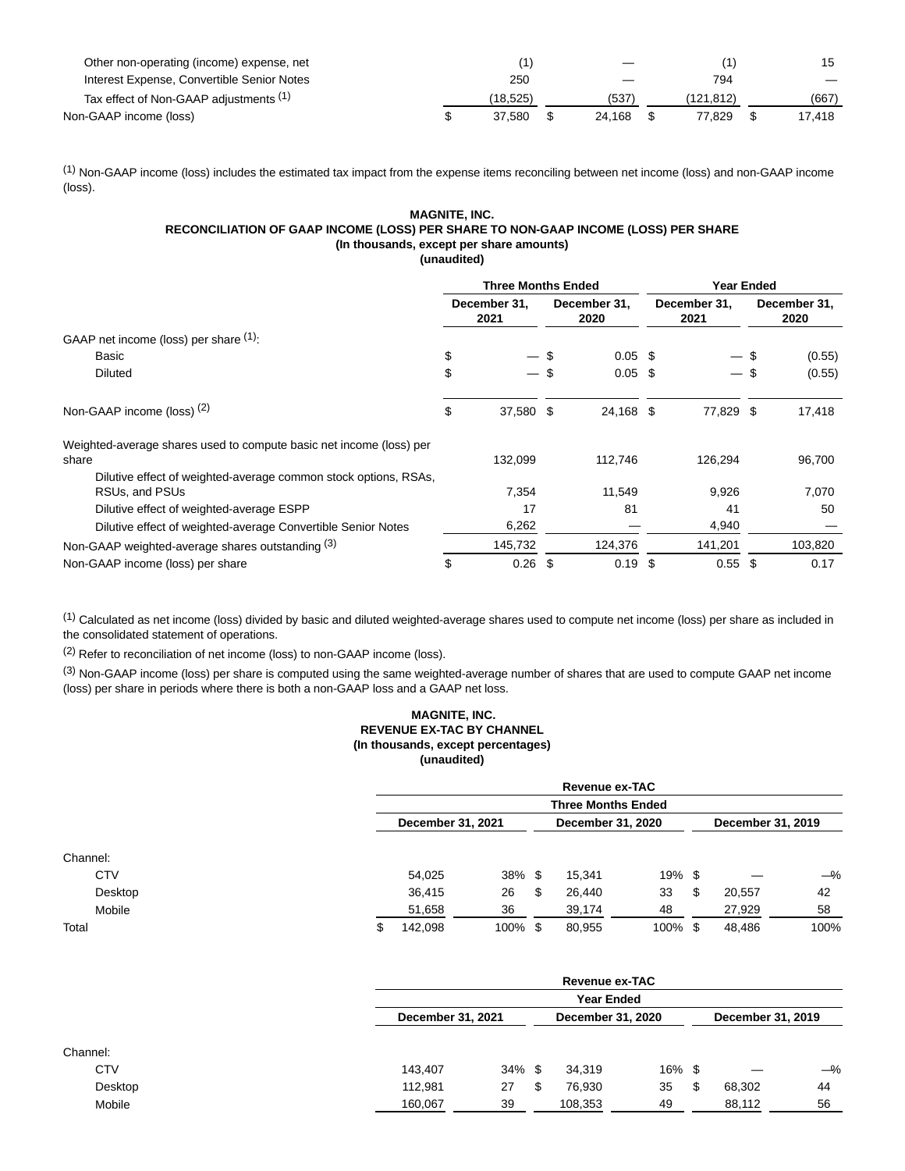| Other non-operating (income) expense, net  | $\left( 1\right)$ |        | (1)       | 15     |
|--------------------------------------------|-------------------|--------|-----------|--------|
| Interest Expense, Convertible Senior Notes | 250               |        | 794       |        |
| Tax effect of Non-GAAP adjustments (1)     | (18, 525)         | (537)  | (121.812) | (667)  |
| Non-GAAP income (loss)                     | 37.580            | 24.168 | 77.829    | 17.418 |

(1) Non-GAAP income (loss) includes the estimated tax impact from the expense items reconciling between net income (loss) and non-GAAP income (loss).

#### **MAGNITE, INC. RECONCILIATION OF GAAP INCOME (LOSS) PER SHARE TO NON-GAAP INCOME (LOSS) PER SHARE (In thousands, except per share amounts) (unaudited)**

|                                                                              | <b>Three Months Ended</b> |           |                      |           |  | <b>Year Ended</b>    |                      |         |  |  |
|------------------------------------------------------------------------------|---------------------------|-----------|----------------------|-----------|--|----------------------|----------------------|---------|--|--|
|                                                                              | December 31,<br>2021      |           | December 31,<br>2020 |           |  | December 31,<br>2021 | December 31,<br>2020 |         |  |  |
| GAAP net income (loss) per share (1).                                        |                           |           |                      |           |  |                      |                      |         |  |  |
| Basic                                                                        | \$                        |           | — \$                 | $0.05$ \$ |  |                      | \$                   | (0.55)  |  |  |
| <b>Diluted</b>                                                               | \$                        |           |                      | $0.05$ \$ |  |                      | \$                   | (0.55)  |  |  |
| Non-GAAP income (loss) (2)                                                   | \$                        | 37,580 \$ |                      | 24,168 \$ |  | 77,829 \$            |                      | 17,418  |  |  |
| Weighted-average shares used to compute basic net income (loss) per<br>share |                           | 132.099   |                      | 112,746   |  | 126.294              |                      | 96,700  |  |  |
| Dilutive effect of weighted-average common stock options, RSAs,              |                           |           |                      |           |  |                      |                      |         |  |  |
| RSUs, and PSUs                                                               |                           | 7,354     |                      | 11,549    |  | 9,926                |                      | 7,070   |  |  |
| Dilutive effect of weighted-average ESPP                                     |                           | 17        |                      | 81        |  | 41                   |                      | 50      |  |  |
| Dilutive effect of weighted-average Convertible Senior Notes                 |                           | 6,262     |                      |           |  | 4,940                |                      |         |  |  |
| Non-GAAP weighted-average shares outstanding (3)                             |                           | 145,732   |                      | 124,376   |  | 141,201              |                      | 103,820 |  |  |
| Non-GAAP income (loss) per share                                             |                           | $0.26$ \$ |                      | $0.19$ \$ |  | $0.55$ \$            |                      | 0.17    |  |  |

(1) Calculated as net income (loss) divided by basic and diluted weighted-average shares used to compute net income (loss) per share as included in the consolidated statement of operations.

(2) Refer to reconciliation of net income (loss) to non-GAAP income (loss).

(3) Non-GAAP income (loss) per share is computed using the same weighted-average number of shares that are used to compute GAAP net income (loss) per share in periods where there is both a non-GAAP loss and a GAAP net loss.

#### **MAGNITE, INC. REVENUE EX-TAC BY CHANNEL (In thousands, except percentages) (unaudited)**

|            |                   |           |   | Revenue ex-TAC            |         |                   |        |       |
|------------|-------------------|-----------|---|---------------------------|---------|-------------------|--------|-------|
|            |                   |           |   | <b>Three Months Ended</b> |         |                   |        |       |
|            | December 31, 2021 |           |   | December 31, 2020         |         | December 31, 2019 |        |       |
| Channel:   |                   |           |   |                           |         |                   |        |       |
| <b>CTV</b> | 54,025            | $38\%$ \$ |   | 15,341                    | 19% \$  |                   |        | $-\%$ |
| Desktop    | 36,415            | 26        | S | 26,440                    | 33      | S                 | 20,557 | 42    |
| Mobile     | 51,658            | 36        |   | 39,174                    | 48      |                   | 27,929 | 58    |
| Total      | \$<br>142,098     | 100% \$   |   | 80,955                    | 100% \$ |                   | 48,486 | 100%  |

|            | <b>Revenue ex-TAC</b> |                   |   |                   |                   |   |        |                   |  |
|------------|-----------------------|-------------------|---|-------------------|-------------------|---|--------|-------------------|--|
|            |                       |                   |   | <b>Year Ended</b> |                   |   |        |                   |  |
|            |                       | December 31, 2021 |   |                   | December 31, 2020 |   |        | December 31, 2019 |  |
| Channel:   |                       |                   |   |                   |                   |   |        |                   |  |
| <b>CTV</b> | 143,407               | $34\%$ \$         |   | 34,319            | 16% \$            |   |        | $-\%$             |  |
| Desktop    | 112,981               | 27                | S | 76,930            | 35                | S | 68,302 | 44                |  |
| Mobile     | 160.067               | 39                |   | 108,353           | 49                |   | 88,112 | 56                |  |